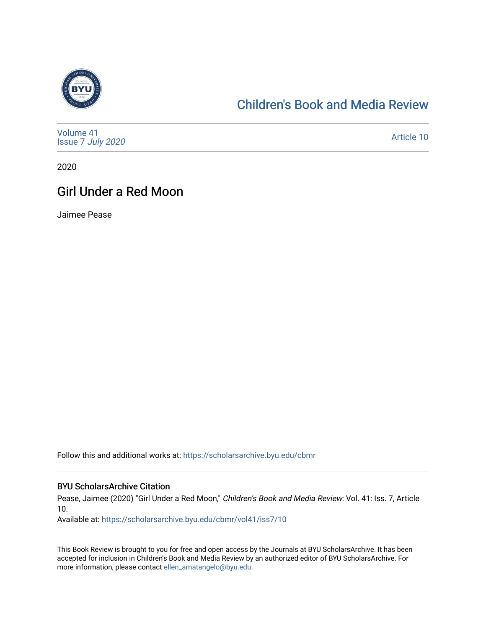

## [Children's Book and Media Review](https://scholarsarchive.byu.edu/cbmr)

| Volume 41<br>Issue 7 July 2020 | Article 10 |
|--------------------------------|------------|
|--------------------------------|------------|

2020

## Girl Under a Red Moon

Jaimee Pease

Follow this and additional works at: [https://scholarsarchive.byu.edu/cbmr](https://scholarsarchive.byu.edu/cbmr?utm_source=scholarsarchive.byu.edu%2Fcbmr%2Fvol41%2Fiss7%2F10&utm_medium=PDF&utm_campaign=PDFCoverPages) 

#### BYU ScholarsArchive Citation

Pease, Jaimee (2020) "Girl Under a Red Moon," Children's Book and Media Review: Vol. 41: Iss. 7, Article 10.

Available at: [https://scholarsarchive.byu.edu/cbmr/vol41/iss7/10](https://scholarsarchive.byu.edu/cbmr/vol41/iss7/10?utm_source=scholarsarchive.byu.edu%2Fcbmr%2Fvol41%2Fiss7%2F10&utm_medium=PDF&utm_campaign=PDFCoverPages)

This Book Review is brought to you for free and open access by the Journals at BYU ScholarsArchive. It has been accepted for inclusion in Children's Book and Media Review by an authorized editor of BYU ScholarsArchive. For more information, please contact [ellen\\_amatangelo@byu.edu.](mailto:ellen_amatangelo@byu.edu)